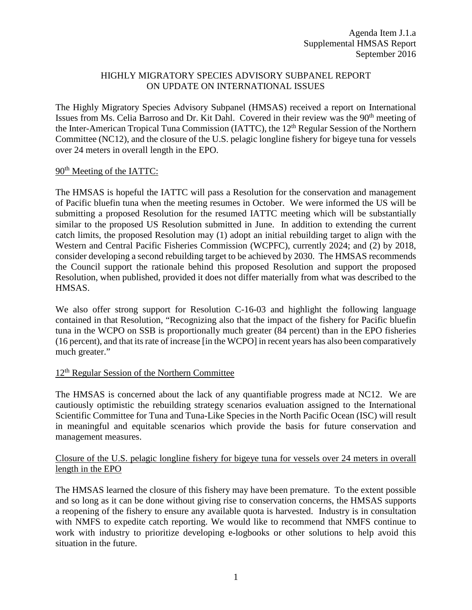## HIGHLY MIGRATORY SPECIES ADVISORY SUBPANEL REPORT ON UPDATE ON INTERNATIONAL ISSUES

The Highly Migratory Species Advisory Subpanel (HMSAS) received a report on International Issues from Ms. Celia Barroso and Dr. Kit Dahl. Covered in their review was the 90<sup>th</sup> meeting of the Inter-American Tropical Tuna Commission (IATTC), the 12<sup>th</sup> Regular Session of the Northern Committee (NC12), and the closure of the U.S. pelagic longline fishery for bigeye tuna for vessels over 24 meters in overall length in the EPO.

## 90<sup>th</sup> Meeting of the IATTC:

The HMSAS is hopeful the IATTC will pass a Resolution for the conservation and management of Pacific bluefin tuna when the meeting resumes in October. We were informed the US will be submitting a proposed Resolution for the resumed IATTC meeting which will be substantially similar to the proposed US Resolution submitted in June. In addition to extending the current catch limits, the proposed Resolution may (1) adopt an initial rebuilding target to align with the Western and Central Pacific Fisheries Commission (WCPFC), currently 2024; and (2) by 2018, consider developing a second rebuilding target to be achieved by 2030. The HMSAS recommends the Council support the rationale behind this proposed Resolution and support the proposed Resolution, when published, provided it does not differ materially from what was described to the HMSAS.

We also offer strong support for Resolution C-16-03 and highlight the following language contained in that Resolution, "Recognizing also that the impact of the fishery for Pacific bluefin tuna in the WCPO on SSB is proportionally much greater (84 percent) than in the EPO fisheries (16 percent), and that its rate of increase [in the WCPO] in recent years has also been comparatively much greater."

## 12th Regular Session of the Northern Committee

The HMSAS is concerned about the lack of any quantifiable progress made at NC12. We are cautiously optimistic the rebuilding strategy scenarios evaluation assigned to the International Scientific Committee for Tuna and Tuna-Like Species in the North Pacific Ocean (ISC) will result in meaningful and equitable scenarios which provide the basis for future conservation and management measures.

## Closure of the U.S. pelagic longline fishery for bigeye tuna for vessels over 24 meters in overall length in the EPO

The HMSAS learned the closure of this fishery may have been premature. To the extent possible and so long as it can be done without giving rise to conservation concerns, the HMSAS supports a reopening of the fishery to ensure any available quota is harvested. Industry is in consultation with NMFS to expedite catch reporting. We would like to recommend that NMFS continue to work with industry to prioritize developing e-logbooks or other solutions to help avoid this situation in the future.